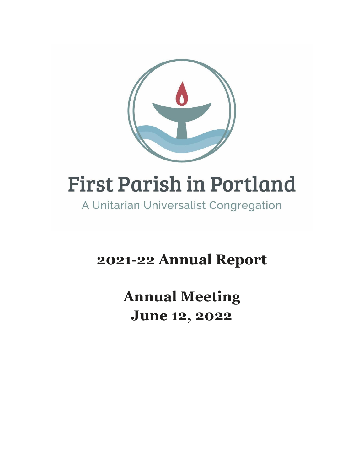

# **First Parish in Portland**

A Unitarian Universalist Congregation

**2021-22 Annual Report**

**Annual Meeting June 12, 2022**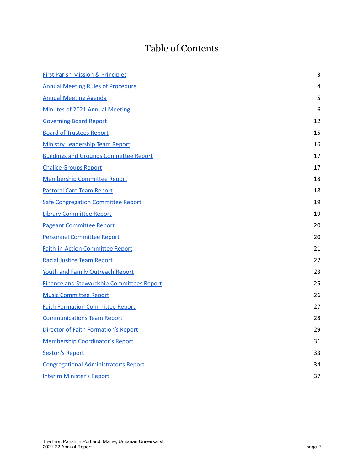# Table of Contents

| <b>First Parish Mission &amp; Principles</b>     | 3  |
|--------------------------------------------------|----|
| <b>Annual Meeting Rules of Procedure</b>         | 4  |
| <b>Annual Meeting Agenda</b>                     | 5  |
| Minutes of 2021 Annual Meeting                   | 6  |
| <b>Governing Board Report</b>                    | 12 |
| <b>Board of Trustees Report</b>                  | 15 |
| <b>Ministry Leadership Team Report</b>           | 16 |
| <b>Buildings and Grounds Committee Report</b>    | 17 |
| <b>Chalice Groups Report</b>                     | 17 |
| <b>Membership Committee Report</b>               | 18 |
| <b>Pastoral Care Team Report</b>                 | 18 |
| <b>Safe Congregation Committee Report</b>        | 19 |
| <b>Library Committee Report</b>                  | 19 |
| <b>Pageant Committee Report</b>                  | 20 |
| <b>Personnel Committee Report</b>                | 20 |
| <b>Faith-in-Action Committee Report</b>          | 21 |
| <b>Racial Justice Team Report</b>                | 22 |
| <b>Youth and Family Outreach Report</b>          | 23 |
| <b>Finance and Stewardship Committees Report</b> | 25 |
| <b>Music Committee Report</b>                    | 26 |
| <b>Faith Formation Committee Report</b>          | 27 |
| <b>Communications Team Report</b>                | 28 |
| Director of Faith Formation's Report             | 29 |
| <b>Membership Coordinator's Report</b>           | 31 |
| <b>Sexton's Report</b>                           | 33 |
| <b>Congregational Administrator's Report</b>     | 34 |
| <b>Interim Minister's Report</b>                 | 37 |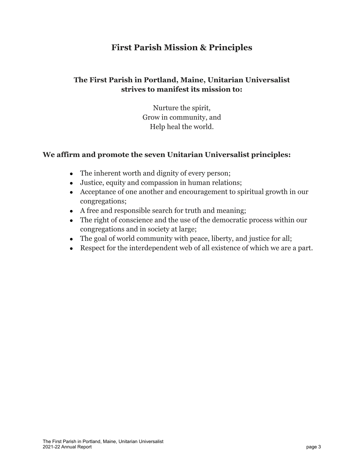# **First Parish Mission & Principles**

### <span id="page-2-0"></span>**The First Parish in Portland, Maine, Unitarian Universalist strives to manifest its mission to:**

Nurture the spirit, Grow in community, and Help heal the world.

#### **We affirm and promote the seven Unitarian Universalist principles:**

- The inherent worth and dignity of every person;
- Justice, equity and compassion in human relations;
- Acceptance of one another and encouragement to spiritual growth in our congregations;
- A free and responsible search for truth and meaning;
- The right of conscience and the use of the democratic process within our congregations and in society at large;
- The goal of world community with peace, liberty, and justice for all;
- Respect for the interdependent web of all existence of which we are a part.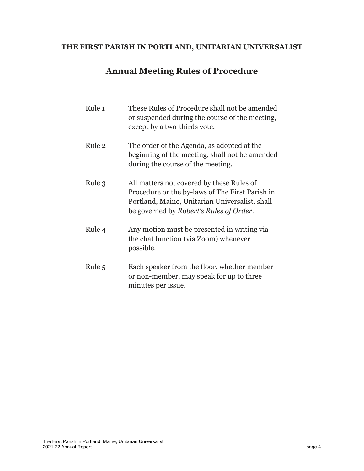## <span id="page-3-0"></span>**THE FIRST PARISH IN PORTLAND, UNITARIAN UNIVERSALIST**

# **Annual Meeting Rules of Procedure**

| Rule 1 | These Rules of Procedure shall not be amended<br>or suspended during the course of the meeting,<br>except by a two-thirds vote.                                                           |
|--------|-------------------------------------------------------------------------------------------------------------------------------------------------------------------------------------------|
| Rule 2 | The order of the Agenda, as adopted at the<br>beginning of the meeting, shall not be amended<br>during the course of the meeting.                                                         |
| Rule 3 | All matters not covered by these Rules of<br>Procedure or the by-laws of The First Parish in<br>Portland, Maine, Unitarian Universalist, shall<br>be governed by Robert's Rules of Order. |
| Rule 4 | Any motion must be presented in writing via<br>the chat function (via Zoom) whenever<br>possible.                                                                                         |
| Rule 5 | Each speaker from the floor, whether member<br>or non-member, may speak for up to three<br>minutes per issue.                                                                             |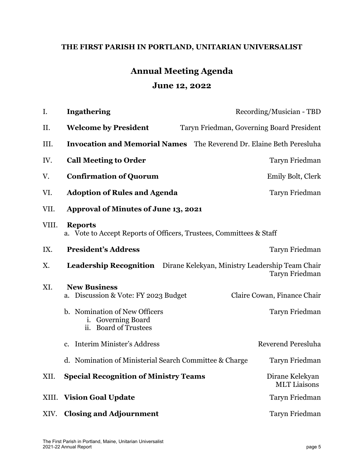## <span id="page-4-0"></span>**THE FIRST PARISH IN PORTLAND, UNITARIAN UNIVERSALIST**

# **Annual Meeting Agenda June 12, 2022**

| I.    | <b>Ingathering</b>                                                                    | Recording/Musician - TBD                  |
|-------|---------------------------------------------------------------------------------------|-------------------------------------------|
| II.   | <b>Welcome by President</b>                                                           | Taryn Friedman, Governing Board President |
| III.  | <b>Invocation and Memorial Names</b> The Reverend Dr. Elaine Beth Peresluha           |                                           |
| IV.   | <b>Call Meeting to Order</b>                                                          | Taryn Friedman                            |
| V.    | <b>Confirmation of Quorum</b>                                                         | Emily Bolt, Clerk                         |
| VI.   | <b>Adoption of Rules and Agenda</b>                                                   | Taryn Friedman                            |
| VII.  | <b>Approval of Minutes of June 13, 2021</b>                                           |                                           |
| VIII. | <b>Reports</b><br>a. Vote to Accept Reports of Officers, Trustees, Committees & Staff |                                           |
| IX.   | <b>President's Address</b>                                                            | Taryn Friedman                            |
| Χ.    | <b>Leadership Recognition</b> Dirane Kelekyan, Ministry Leadership Team Chair         | Taryn Friedman                            |
| XI.   | <b>New Business</b><br>a. Discussion & Vote: FY 2023 Budget                           | Claire Cowan, Finance Chair               |
|       | b. Nomination of New Officers<br>i. Governing Board<br>ii. Board of Trustees          | Taryn Friedman                            |
|       | c. Interim Minister's Address                                                         | <b>Reverend Peresluha</b>                 |
|       | d. Nomination of Ministerial Search Committee & Charge                                | Taryn Friedman                            |
| XII.  | <b>Special Recognition of Ministry Teams</b>                                          | Dirane Kelekyan<br><b>MLT</b> Liaisons    |
| XIII. | <b>Vision Goal Update</b>                                                             | Taryn Friedman                            |
| XIV.  | <b>Closing and Adjournment</b>                                                        | Taryn Friedman                            |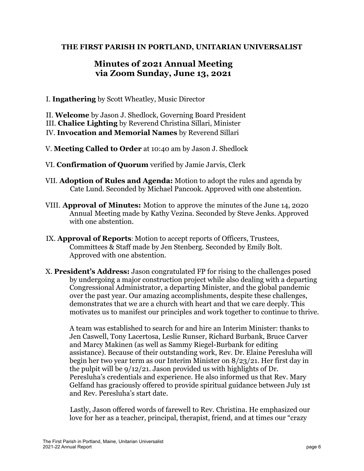#### <span id="page-5-0"></span>**THE FIRST PARISH IN PORTLAND, UNITARIAN UNIVERSALIST**

# **Minutes of 2021 Annual Meeting via Zoom Sunday, June 13, 2021**

I. **Ingathering** by Scott Wheatley, Music Director

II. **Welcome** by Jason J. Shedlock, Governing Board President III. **Chalice Lighting** by Reverend Christina Sillari, Minister IV. **Invocation and Memorial Names** by Reverend Sillari

- V. **Meeting Called to Order** at 10:40 am by Jason J. Shedlock
- VI. **Confirmation of Quorum** verified by Jamie Jarvis, Clerk
- VII. **Adoption of Rules and Agenda:** Motion to adopt the rules and agenda by Cate Lund. Seconded by Michael Pancook. Approved with one abstention.
- VIII. **Approval of Minutes:** Motion to approve the minutes of the June 14, 2020 Annual Meeting made by Kathy Vezina. Seconded by Steve Jenks. Approved with one abstention.
- IX. **Approval of Reports**: Motion to accept reports of Officers, Trustees, Committees & Staff made by Jen Stenberg. Seconded by Emily Bolt. Approved with one abstention.
- X. **President's Address:** Jason congratulated FP for rising to the challenges posed by undergoing a major construction project while also dealing with a departing Congressional Administrator, a departing Minister, and the global pandemic over the past year. Our amazing accomplishments, despite these challenges, demonstrates that we are a church with heart and that we care deeply. This motivates us to manifest our principles and work together to continue to thrive.

A team was established to search for and hire an Interim Minister: thanks to Jen Caswell, Tony Lacertosa, Leslie Runser, Richard Burbank, Bruce Carver and Marcy Makinen (as well as Sammy Riegel-Burbank for editing assistance). Because of their outstanding work, Rev. Dr. Elaine Peresluha will begin her two year term as our Interim Minister on 8/23/21. Her first day in the pulpit will be 9/12/21. Jason provided us with highlights of Dr. Peresluha's credentials and experience. He also informed us that Rev. Mary Gelfand has graciously offered to provide spiritual guidance between July 1st and Rev. Peresluha's start date.

Lastly, Jason offered words of farewell to Rev. Christina. He emphasized our love for her as a teacher, principal, therapist, friend, and at times our "crazy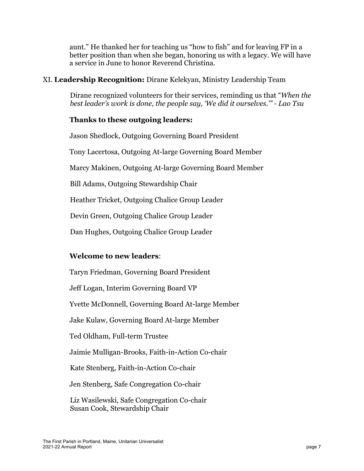aunt." He thanked her for teaching us "how to fish" and for leaving FP in a better position than when she began, honoring us with a legacy. We will have a service in June to honor Reverend Christina.

#### XI. **Leadership Recognition:** Dirane Kelekyan, Ministry Leadership Team

Dirane recognized volunteers for their services, reminding us that "*When the best leader's work is done, the people say, 'We did it ourselves.'" - Lao Tsu*

#### **Thanks to these outgoing leaders:**

Jason Shedlock, Outgoing Governing Board President

Tony Lacertosa, Outgoing At-large Governing Board Member

Marcy Makinen, Outgoing At-large Governing Board Member

Bill Adams, Outgoing Stewardship Chair

Heather Tricket, Outgoing Chalice Group Leader

Devin Green, Outgoing Chalice Group Leader

Dan Hughes, Outgoing Chalice Group Leader

#### **Welcome to new leaders**:

Taryn Friedman, Governing Board President Jeff Logan, Interim Governing Board VP Yvette McDonnell, Governing Board At-large Member Jake Kulaw, Governing Board At-large Member Ted Oldham, Full-term Trustee Jaimie Mulligan-Brooks, Faith-in-Action Co-chair Kate Stenberg, Faith-in-Action Co-chair Jen Stenberg, Safe Congregation Co-chair Liz Wasilewski, Safe Congregation Co-chair Susan Cook, Stewardship Chair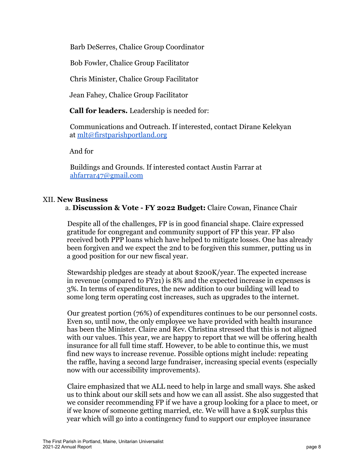Barb DeSerres, Chalice Group Coordinator

Bob Fowler, Chalice Group Facilitator

Chris Minister, Chalice Group Facilitator

Jean Fahey, Chalice Group Facilitator

**Call for leaders.** Leadership is needed for:

Communications and Outreach. If interested, contact Dirane Kelekyan at mlt@firstparishportland.org

And for

Buildings and Grounds. If interested contact Austin Farrar at ahfarrar47@gmail.com

#### XII. **New Business**

a. **Discussion & Vote - FY 2022 Budget:** Claire Cowan, Finance Chair

Despite all of the challenges, FP is in good financial shape. Claire expressed gratitude for congregant and community support of FP this year. FP also received both PPP loans which have helped to mitigate losses. One has already been forgiven and we expect the 2nd to be forgiven this summer, putting us in a good position for our new fiscal year.

Stewardship pledges are steady at about \$200K/year. The expected increase in revenue (compared to FY21) is 8% and the expected increase in expenses is 3%. In terms of expenditures, the new addition to our building will lead to some long term operating cost increases, such as upgrades to the internet.

Our greatest portion (76%) of expenditures continues to be our personnel costs. Even so, until now, the only employee we have provided with health insurance has been the Minister. Claire and Rev. Christina stressed that this is not aligned with our values. This year, we are happy to report that we will be offering health insurance for all full time staff. However, to be able to continue this, we must find new ways to increase revenue. Possible options might include: repeating the raffle, having a second large fundraiser, increasing special events (especially now with our accessibility improvements).

Claire emphasized that we ALL need to help in large and small ways. She asked us to think about our skill sets and how we can all assist. She also suggested that we consider recommending FP if we have a group looking for a place to meet, or if we know of someone getting married, etc. We will have a \$19K surplus this year which will go into a contingency fund to support our employee insurance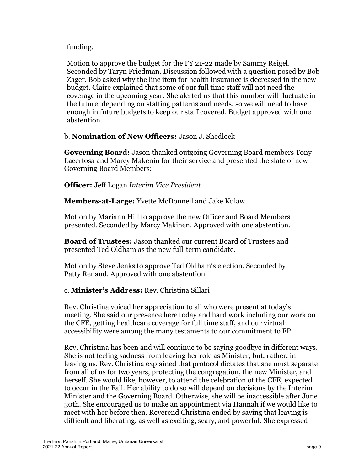#### funding.

Motion to approve the budget for the FY 21-22 made by Sammy Reigel. Seconded by Taryn Friedman. Discussion followed with a question posed by Bob Zager. Bob asked why the line item for health insurance is decreased in the new budget. Claire explained that some of our full time staff will not need the coverage in the upcoming year. She alerted us that this number will fluctuate in the future, depending on staffing patterns and needs, so we will need to have enough in future budgets to keep our staff covered. Budget approved with one abstention.

#### b. **Nomination of New Officers:** Jason J. Shedlock

**Governing Board:** Jason thanked outgoing Governing Board members Tony Lacertosa and Marcy Makenin for their service and presented the slate of new Governing Board Members:

#### **Officer:** Jeff Logan *Interim Vice President*

**Members-at-Large:** Yvette McDonnell and Jake Kulaw

Motion by Mariann Hill to approve the new Officer and Board Members presented. Seconded by Marcy Makinen. Approved with one abstention.

**Board of Trustees:** Jason thanked our current Board of Trustees and presented Ted Oldham as the new full-term candidate.

Motion by Steve Jenks to approve Ted Oldham's election. Seconded by Patty Renaud. Approved with one abstention.

#### c. **Minister's Address:** Rev. Christina Sillari

Rev. Christina voiced her appreciation to all who were present at today's meeting. She said our presence here today and hard work including our work on the CFE, getting healthcare coverage for full time staff, and our virtual accessibility were among the many testaments to our commitment to FP.

Rev. Christina has been and will continue to be saying goodbye in different ways. She is not feeling sadness from leaving her role as Minister, but, rather, in leaving us. Rev. Christina explained that protocol dictates that she must separate from all of us for two years, protecting the congregation, the new Minister, and herself. She would like, however, to attend the celebration of the CFE, expected to occur in the Fall. Her ability to do so will depend on decisions by the Interim Minister and the Governing Board. Otherwise, she will be inaccessible after June 30th. She encouraged us to make an appointment via Hannah if we would like to meet with her before then. Reverend Christina ended by saying that leaving is difficult and liberating, as well as exciting, scary, and powerful. She expressed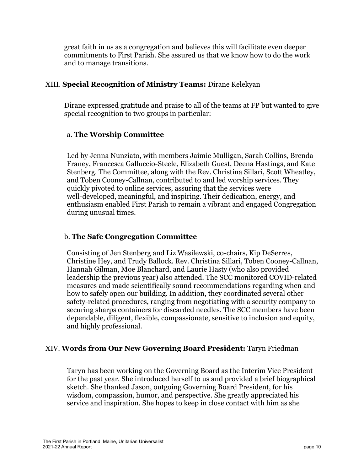great faith in us as a congregation and believes this will facilitate even deeper commitments to First Parish. She assured us that we know how to do the work and to manage transitions.

#### XIII. **Special Recognition of Ministry Teams:** Dirane Kelekyan

Dirane expressed gratitude and praise to all of the teams at FP but wanted to give special recognition to two groups in particular:

#### a. **The Worship Committee**

Led by Jenna Nunziato, with members Jaimie Mulligan, Sarah Collins, Brenda Franey, Francesca Galluccio-Steele, Elizabeth Guest, Deena Hastings, and Kate Stenberg. The Committee, along with the Rev. Christina Sillari, Scott Wheatley, and Toben Cooney-Callnan, contributed to and led worship services. They quickly pivoted to online services, assuring that the services were well-developed, meaningful, and inspiring. Their dedication, energy, and enthusiasm enabled First Parish to remain a vibrant and engaged Congregation during unusual times.

#### b. **The Safe Congregation Committee**

Consisting of Jen Stenberg and Liz Wasilewski, co-chairs, Kip DeSerres, Christine Hey, and Trudy Ballock. Rev. Christina Sillari, Toben Cooney-Callnan, Hannah Gilman, Moe Blanchard, and Laurie Hasty (who also provided leadership the previous year) also attended. The SCC monitored COVID-related measures and made scientifically sound recommendations regarding when and how to safely open our building. In addition, they coordinated several other safety-related procedures, ranging from negotiating with a security company to securing sharps containers for discarded needles. The SCC members have been dependable, diligent, flexible, compassionate, sensitive to inclusion and equity, and highly professional.

#### XIV. **Words from Our New Governing Board President:** Taryn Friedman

Taryn has been working on the Governing Board as the Interim Vice President for the past year. She introduced herself to us and provided a brief biographical sketch. She thanked Jason, outgoing Governing Board President, for his wisdom, compassion, humor, and perspective. She greatly appreciated his service and inspiration. She hopes to keep in close contact with him as she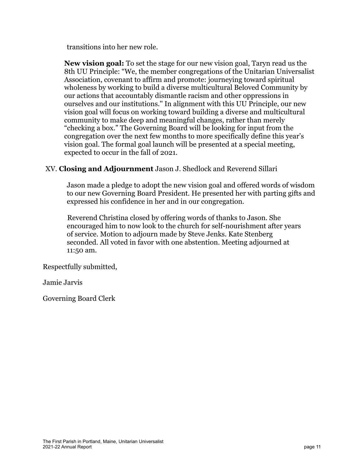transitions into her new role.

**New vision goal:** To set the stage for our new vision goal, Taryn read us the 8th UU Principle: "We, the member congregations of the Unitarian Universalist Association, covenant to affirm and promote: journeying toward spiritual wholeness by working to build a diverse multicultural Beloved Community by our actions that accountably dismantle racism and other oppressions in ourselves and our institutions.'' In alignment with this UU Principle, our new vision goal will focus on working toward building a diverse and multicultural community to make deep and meaningful changes, rather than merely "checking a box." The Governing Board will be looking for input from the congregation over the next few months to more specifically define this year's vision goal. The formal goal launch will be presented at a special meeting, expected to occur in the fall of 2021.

#### XV. **Closing and Adjournment** Jason J. Shedlock and Reverend Sillari

Jason made a pledge to adopt the new vision goal and offered words of wisdom to our new Governing Board President. He presented her with parting gifts and expressed his confidence in her and in our congregation.

Reverend Christina closed by offering words of thanks to Jason. She encouraged him to now look to the church for self-nourishment after years of service. Motion to adjourn made by Steve Jenks. Kate Stenberg seconded. All voted in favor with one abstention. Meeting adjourned at 11:50 am.

Respectfully submitted,

Jamie Jarvis

Governing Board Clerk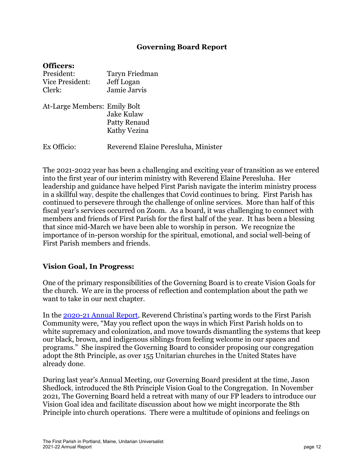#### **Governing Board Report**

<span id="page-11-0"></span>

| .                            |                                     |
|------------------------------|-------------------------------------|
| President:                   | Taryn Friedman                      |
| <b>Vice President:</b>       | Jeff Logan                          |
| Clerk:                       | Jamie Jarvis                        |
| At-Large Members: Emily Bolt |                                     |
|                              | <b>Jake Kulaw</b>                   |
|                              | Patty Renaud                        |
|                              | Kathy Vezina                        |
| Ex Officio:                  | Reverend Elaine Peresluha, Minister |

The 2021-2022 year has been a challenging and exciting year of transition as we entered into the first year of our interim ministry with Reverend Elaine Peresluha. Her leadership and guidance have helped First Parish navigate the interim ministry process in a skillful way, despite the challenges that Covid continues to bring. First Parish has continued to persevere through the challenge of online services. More than half of this fiscal year's services occurred on Zoom. As a board, it was challenging to connect with members and friends of First Parish for the first half of the year. It has been a blessing that since mid-March we have been able to worship in person. We recognize the importance of in-person worship for the spiritual, emotional, and social well-being of First Parish members and friends.

#### **Vision Goal, In Progress:**

One of the primary responsibilities of the Governing Board is to create Vision Goals for the church. We are in the process of reflection and contemplation about the path we want to take in our next chapter.

In the [2020-21 Annual Report,](https://files.constantcontact.com/56ca20d1101/e28fb8f4-97ef-4381-b436-85fb60ed1280.pdf) Reverend Christina's parting words to the First Parish Community were, "May you reflect upon the ways in which First Parish holds on to white supremacy and colonization, and move towards dismantling the systems that keep our black, brown, and indigenous siblings from feeling welcome in our spaces and programs." She inspired the Governing Board to consider proposing our congregation adopt the 8th Principle, as over 155 Unitarian churches in the United States have already done.

During last year's Annual Meeting, our Governing Board president at the time, Jason Shedlock, introduced the 8th Principle Vision Goal to the Congregation. In November 2021, The Governing Board held a retreat with many of our FP leaders to introduce our Vision Goal idea and facilitate discussion about how we might incorporate the 8th Principle into church operations. There were a multitude of opinions and feelings on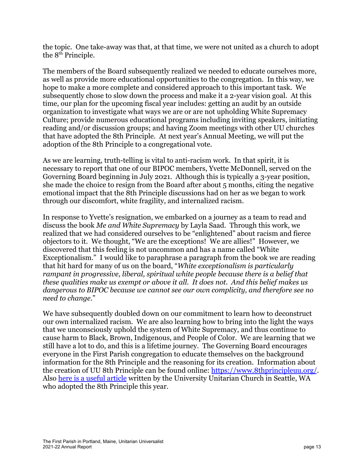the topic. One take-away was that, at that time, we were not united as a church to adopt the 8<sup>th</sup> Principle.

The members of the Board subsequently realized we needed to educate ourselves more, as well as provide more educational opportunities to the congregation. In this way, we hope to make a more complete and considered approach to this important task. We subsequently chose to slow down the process and make it a 2-year vision goal. At this time, our plan for the upcoming fiscal year includes: getting an audit by an outside organization to investigate what ways we are or are not upholding White Supremacy Culture; provide numerous educational programs including inviting speakers, initiating reading and/or discussion groups; and having Zoom meetings with other UU churches that have adopted the 8th Principle. At next year's Annual Meeting, we will put the adoption of the 8th Principle to a congregational vote.

As we are learning, truth-telling is vital to anti-racism work. In that spirit, it is necessary to report that one of our BIPOC members, Yvette McDonnell, served on the Governing Board beginning in July 2021. Although this is typically a 3-year position, she made the choice to resign from the Board after about 5 months, citing the negative emotional impact that the 8th Principle discussions had on her as we began to work through our discomfort, white fragility, and internalized racism.

In response to Yvette's resignation, we embarked on a journey as a team to read and discuss the book *Me and White Supremacy* by Layla Saad. Through this work, we realized that we had considered ourselves to be "enlightened" about racism and fierce objectors to it. We thought, "We are the exceptions! We are allies!" However, we discovered that this feeling is not uncommon and has a name called "White Exceptionalism." I would like to paraphrase a paragraph from the book we are reading that hit hard for many of us on the board, "*White exceptionalism is particularly rampant in progressive, liberal, spiritual white people because there is a belief that these qualities make us exempt or above it all. It does not. And this belief makes us dangerous to BIPOC because we cannot see our own complicity, and therefore see no need to change*."

We have subsequently doubled down on our commitment to learn how to deconstruct our own internalized racism. We are also learning how to bring into the light the ways that we unconsciously uphold the system of White Supremacy, and thus continue to cause harm to Black, Brown, Indigenous, and People of Color. We are learning that we still have a lot to do, and this is a lifetime journey. The Governing Board encourages everyone in the First Parish congregation to educate themselves on the background information for the 8th Principle and the reasoning for its creation. Information about the creation of UU 8th Principle can be found online: <https://www.8thprincipleuu.org/>. Also [here is a useful article](https://www.uuchurch.org/social-justice/proposed-8th-uu-principle/) written by the University Unitarian Church in Seattle, WA who adopted the 8th Principle this year.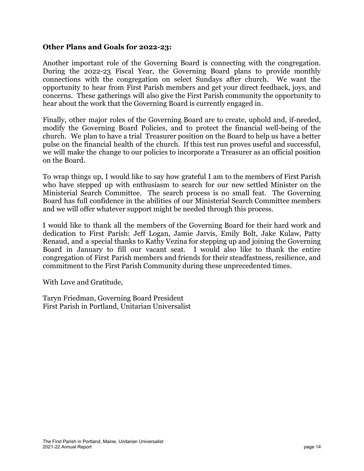#### **Other Plans and Goals for 2022-23:**

Another important role of the Governing Board is connecting with the congregation. During the 2022-23 Fiscal Year, the Governing Board plans to provide monthly connections with the congregation on select Sundays after church. We want the opportunity to hear from First Parish members and get your direct feedback, joys, and concerns. These gatherings will also give the First Parish community the opportunity to hear about the work that the Governing Board is currently engaged in.

Finally, other major roles of the Governing Board are to create, uphold and, if-needed, modify the Governing Board Policies, and to protect the financial well-being of the church. We plan to have a trial Treasurer position on the Board to help us have a better pulse on the financial health of the church. If this test run proves useful and successful, we will make the change to our policies to incorporate a Treasurer as an official position on the Board.

To wrap things up, I would like to say how grateful I am to the members of First Parish who have stepped up with enthusiasm to search for our new settled Minister on the Ministerial Search Committee. The search process is no small feat. The Governing Board has full confidence in the abilities of our Ministerial Search Committee members and we will offer whatever support might be needed through this process.

I would like to thank all the members of the Governing Board for their hard work and dedication to First Parish: Jeff Logan, Jamie Jarvis, Emily Bolt, Jake Kulaw, Patty Renaud, and a special thanks to Kathy Vezina for stepping up and joining the Governing Board in January to fill our vacant seat. I would also like to thank the entire congregation of First Parish members and friends for their steadfastness, resilience, and commitment to the First Parish Community during these unprecedented times.

With Love and Gratitude,

Taryn Friedman, Governing Board President First Parish in Portland, Unitarian Universalist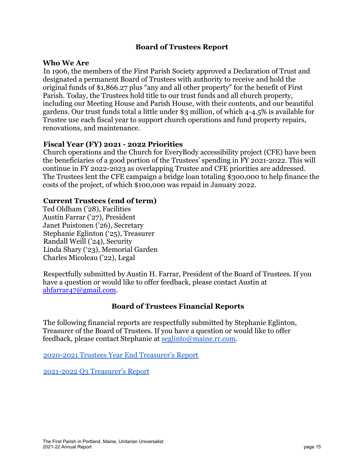#### **Board of Trustees Report**

#### <span id="page-14-0"></span>**Who We Are**

In 1906, the members of the First Parish Society approved a Declaration of Trust and designated a permanent Board of Trustees with authority to receive and hold the original funds of \$1,866.27 plus "any and all other property" for the benefit of First Parish. Today, the Trustees hold title to our trust funds and all church property, including our Meeting House and Parish House, with their contents, and our beautiful gardens. Our trust funds total a little under \$3 million, of which 4-4.5% is available for Trustee use each fiscal year to support church operations and fund property repairs, renovations, and maintenance.

#### **Fiscal Year (FY) 2021 - 2022 Priorities**

Church operations and the Church for EveryBody accessibility project (CFE) have been the beneficiaries of a good portion of the Trustees' spending in FY 2021-2022. This will continue in FY 2022-2023 as overlapping Trustee and CFE priorities are addressed. The Trustees lent the CFE campaign a bridge loan totaling \$300,000 to help finance the costs of the project, of which \$100,000 was repaid in January 2022.

#### **Current Trustees (end of term)**

Ted Oldham ('28), Facilities Austin Farrar ('27), President Janet Puistonen ('26), Secretary Stephanie Eglinton ('25), Treasurer Randall Weill ('24), Security Linda Shary ('23), Memorial Garden Charles Micoleau ('22), Legal

Respectfully submitted by Austin H. Farrar, President of the Board of Trustees. If you have a question or would like to offer feedback, please contact Austin at ahfarrar47@gmail.com.

#### **Board of Trustees Financial Reports**

The following financial reports are respectfully submitted by Stephanie Eglinton, Treasurer of the Board of Trustees. If you have a question or would like to offer feedback, please contact Stephanie at [seglinto@maine.rr.com.](mailto:seglinto@maine.rr.com)

[2020-2021 Trustees Year End Treasurer's Report](https://firstparishportland.org/wp-content/uploads/2022/05/2020-21-FPT-YEAR-END-Treasurer-Report.pdf)

[2021-2022 Q3 Treasurer's Report](https://firstparishportland.org/wp-content/uploads/2022/05/2021-22-FPT-Q3-Treasurer-Report.pdf)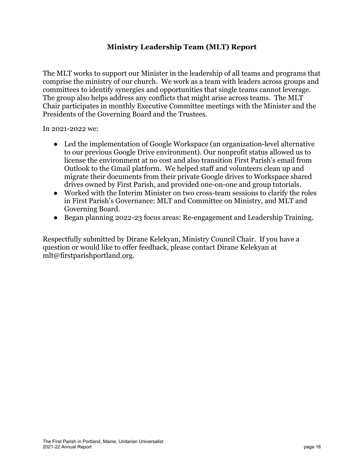#### **Ministry Leadership Team (MLT) Report**

<span id="page-15-0"></span>The MLT works to support our Minister in the leadership of all teams and programs that comprise the ministry of our church. We work as a team with leaders across groups and committees to identify synergies and opportunities that single teams cannot leverage. The group also helps address any conflicts that might arise across teams. The MLT Chair participates in monthly Executive Committee meetings with the Minister and the Presidents of the Governing Board and the Trustees.

In 2021-2022 we:

- Led the implementation of Google Workspace (an organization-level alternative to our previous Google Drive environment). Our nonprofit status allowed us to license the environment at no cost and also transition First Parish's email from Outlook to the Gmail platform. We helped staff and volunteers clean up and migrate their documents from their private Google drives to Workspace shared drives owned by First Parish, and provided one-on-one and group tutorials.
- Worked with the Interim Minister on two cross-team sessions to clarify the roles in First Parish's Governance: MLT and Committee on Ministry, and MLT and Governing Board.
- Began planning 2022-23 focus areas: Re-engagement and Leadership Training.

Respectfully submitted by Dirane Kelekyan, Ministry Council Chair. If you have a question or would like to offer feedback, please contact Dirane Kelekyan at mlt@firstparishportland.org.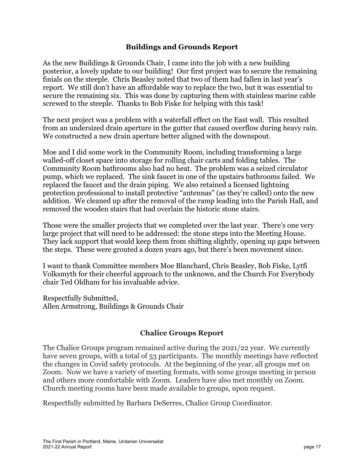#### **Buildings and Grounds Report**

<span id="page-16-0"></span>As the new Buildings & Grounds Chair, I came into the job with a new building posterior, a lovely update to our building! Our first project was to secure the remaining finials on the steeple. Chris Beasley noted that two of them had fallen in last year's report. We still don't have an affordable way to replace the two, but it was essential to secure the remaining six. This was done by capturing them with stainless marine cable screwed to the steeple. Thanks to Bob Fiske for helping with this task!

The next project was a problem with a waterfall effect on the East wall. This resulted from an undersized drain aperture in the gutter that caused overflow during heavy rain. We constructed a new drain aperture better aligned with the downspout.

Moe and I did some work in the Community Room, including transforming a large walled-off closet space into storage for rolling chair carts and folding tables. The Community Room bathrooms also had no heat. The problem was a seized circulator pump, which we replaced. The sink faucet in one of the upstairs bathrooms failed. We replaced the faucet and the drain piping. We also retained a licensed lightning protection professional to install protective "antennas" (as they're called) onto the new addition. We cleaned up after the removal of the ramp leading into the Parish Hall, and removed the wooden stairs that had overlain the historic stone stairs.

Those were the smaller projects that we completed over the last year. There's one very large project that will need to be addressed: the stone steps into the Meeting House. They lack support that would keep them from shifting slightly, opening up gaps between the steps. These were grouted a dozen years ago, but there's been movement since.

I want to thank Committee members Moe Blanchard, Chris Beasley, Bob Fiske, Lytfi Volksmyth for their cheerful approach to the unknown, and the Church For Everybody chair Ted Oldham for his invaluable advice.

Respectfully Submitted, Allen Armstrong, Buildings & Grounds Chair

#### **Chalice Groups Report**

<span id="page-16-1"></span>The Chalice Groups program remained active during the 2021/22 year. We currently have seven groups, with a total of 53 participants. The monthly meetings have reflected the changes in Covid safety protocols. At the beginning of the year, all groups met on Zoom. Now we have a variety of meeting formats, with some groups meeting in person and others more comfortable with Zoom. Leaders have also met monthly on Zoom. Church meeting rooms have been made available to groups, upon request.

Respectfully submitted by Barbara DeSerres, Chalice Group Coordinator.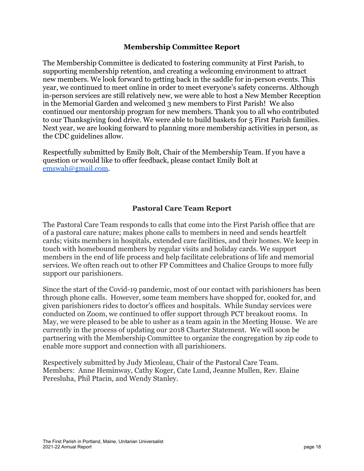#### **Membership Committee Report**

<span id="page-17-0"></span>The Membership Committee is dedicated to fostering community at First Parish, to supporting membership retention, and creating a welcoming environment to attract new members. We look forward to getting back in the saddle for in-person events. This year, we continued to meet online in order to meet everyone's safety concerns. Although in-person services are still relatively new, we were able to host a New Member Reception in the Memorial Garden and welcomed 3 new members to First Parish! We also continued our mentorship program for new members. Thank you to all who contributed to our Thanksgiving food drive. We were able to build baskets for 5 First Parish families. Next year, we are looking forward to planning more membership activities in person, as the CDC guidelines allow.

Respectfully submitted by Emily Bolt, Chair of the Membership Team. If you have a question or would like to offer feedback, please contact Emily Bolt at [emswah@gmail.com.](mailto:emswah@gmail.com)

#### **Pastoral Care Team Report**

<span id="page-17-1"></span>The Pastoral Care Team responds to calls that come into the First Parish office that are of a pastoral care nature; makes phone calls to members in need and sends heartfelt cards; visits members in hospitals, extended care facilities, and their homes. We keep in touch with homebound members by regular visits and holiday cards. We support members in the end of life process and help facilitate celebrations of life and memorial services. We often reach out to other FP Committees and Chalice Groups to more fully support our parishioners.

Since the start of the Covid-19 pandemic, most of our contact with parishioners has been through phone calls. However, some team members have shopped for, cooked for, and given parishioners rides to doctor's offices and hospitals. While Sunday services were conducted on Zoom, we continued to offer support through PCT breakout rooms. In May, we were pleased to be able to usher as a team again in the Meeting House. We are currently in the process of updating our 2018 Charter Statement. We will soon be partnering with the Membership Committee to organize the congregation by zip code to enable more support and connection with all parishioners.

Respectively submitted by Judy Micoleau, Chair of the Pastoral Care Team. Members: Anne Heminway, Cathy Koger, Cate Lund, Jeanne Mullen, Rev. Elaine Peresluha, Phil Ptacin, and Wendy Stanley.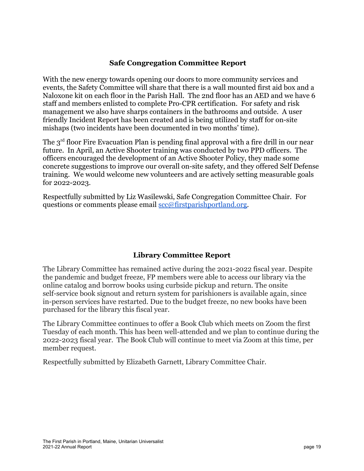#### **Safe Congregation Committee Report**

<span id="page-18-0"></span>With the new energy towards opening our doors to more community services and events, the Safety Committee will share that there is a wall mounted first aid box and a Naloxone kit on each floor in the Parish Hall. The 2nd floor has an AED and we have 6 staff and members enlisted to complete Pro-CPR certification. For safety and risk management we also have sharps containers in the bathrooms and outside. A user friendly Incident Report has been created and is being utilized by staff for on-site mishaps (two incidents have been documented in two months' time).

The 3<sup>rd</sup> floor Fire Evacuation Plan is pending final approval with a fire drill in our near future. In April, an Active Shooter training was conducted by two PPD officers. The officers encouraged the development of an Active Shooter Policy, they made some concrete suggestions to improve our overall on-site safety, and they offered Self Defense training. We would welcome new volunteers and are actively setting measurable goals for 2022-2023.

Respectfully submitted by Liz Wasilewski, Safe Congregation Committee Chair. For questions or comments please email  $\frac{\sec(\omega)}{\cosh(\omega)}$  substitutions or comments please email  $\sec(\omega)$  first parishportland.org.

#### **Library Committee Report**

<span id="page-18-1"></span>The Library Committee has remained active during the 2021-2022 fiscal year. Despite the pandemic and budget freeze, FP members were able to access our library via the online catalog and borrow books using curbside pickup and return. The onsite self-service book signout and return system for parishioners is available again, since in-person services have restarted. Due to the budget freeze, no new books have been purchased for the library this fiscal year.

The Library Committee continues to offer a Book Club which meets on Zoom the first Tuesday of each month. This has been well-attended and we plan to continue during the 2022-2023 fiscal year. The Book Club will continue to meet via Zoom at this time, per member request.

Respectfully submitted by Elizabeth Garnett, Library Committee Chair.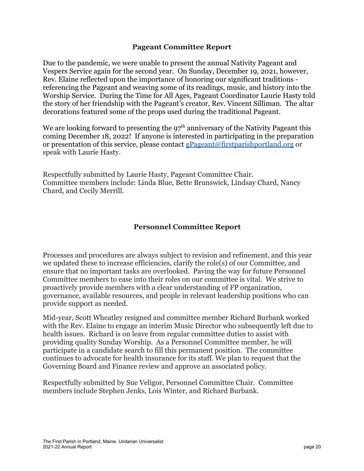#### **Pageant Committee Report**

<span id="page-19-0"></span>Due to the pandemic, we were unable to present the annual Nativity Pageant and Vespers Service again for the second year. On Sunday, December 19, 2021, however, Rev. Elaine reflected upon the importance of honoring our significant traditions referencing the Pageant and weaving some of its readings, music, and history into the Worship Service. During the Time for All Ages, Pageant Coordinator Laurie Hasty told the story of her friendship with the Pageant's creator, Rev. Vincent Silliman. The altar decorations featured some of the props used during the traditional Pageant.

We are looking forward to presenting the  $97<sup>th</sup>$  anniversary of the Nativity Pageant this coming December 18, 2022! If anyone is interested in participating in the preparation or presentation of this service, please contact **gPageant**@firstparishportland.org or speak with Laurie Hasty.

Respectfully submitted by Laurie Hasty, Pageant Committee Chair. Committee members include: Linda Blue, Bette Brunswick, Lindsay Chard, Nancy Chard, and Cecily Merrill.

#### **Personnel Committee Report**

<span id="page-19-1"></span>Processes and procedures are always subject to revision and refinement, and this year we updated these to increase efficiencies, clarify the role(s) of our Committee, and ensure that no important tasks are overlooked. Paving the way for future Personnel Committee members to ease into their roles on our committee is vital. We strive to proactively provide members with a clear understanding of FP organization, governance, available resources, and people in relevant leadership positions who can provide support as needed.

Mid-year, Scott Wheatley resigned and committee member Richard Burbank worked with the Rev. Elaine to engage an interim Music Director who subsequently left due to health issues. Richard is on leave from regular committee duties to assist with providing quality Sunday Worship. As a Personnel Committee member, he will participate in a candidate search to fill this permanent position. The committee continues to advocate for health insurance for its staff. We plan to request that the Governing Board and Finance review and approve an associated policy.

Respectfully submitted by Sue Veligor, Personnel Committee Chair. Committee members include Stephen Jenks, Lois Winter, and Richard Burbank.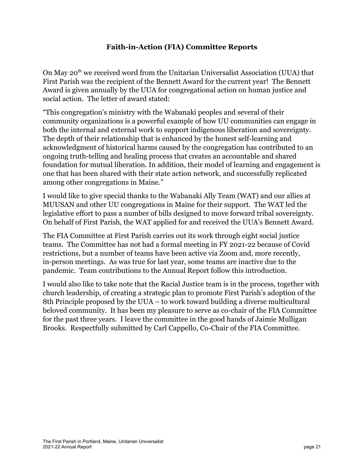#### **Faith-in-Action (FIA) Committee Reports**

<span id="page-20-0"></span>On May 20<sup>th</sup> we received word from the Unitarian Universalist Association (UUA) that First Parish was the recipient of the Bennett Award for the current year! The Bennett Award is given annually by the UUA for congregational action on human justice and social action. The letter of award stated:

"This congregation's ministry with the Wabanaki peoples and several of their community organizations is a powerful example of how UU communities can engage in both the internal and external work to support indigenous liberation and sovereignty. The depth of their relationship that is enhanced by the honest self-learning and acknowledgment of historical harms caused by the congregation has contributed to an ongoing truth-telling and healing process that creates an accountable and shared foundation for mutual liberation. In addition, their model of learning and engagement is one that has been shared with their state action network, and successfully replicated among other congregations in Maine."

I would like to give special thanks to the Wabanaki Ally Team (WAT) and our allies at MUUSAN and other UU congregations in Maine for their support. The WAT led the legislative effort to pass a number of bills designed to move forward tribal sovereignty. On behalf of First Parish, the WAT applied for and received the UUA's Bennett Award.

The FIA Committee at First Parish carries out its work through eight social justice teams. The Committee has not had a formal meeting in FY 2021-22 because of Covid restrictions, but a number of teams have been active via Zoom and, more recently, in-person meetings. As was true for last year, some teams are inactive due to the pandemic. Team contributions to the Annual Report follow this introduction.

I would also like to take note that the Racial Justice team is in the process, together with church leadership, of creating a strategic plan to promote First Parish's adoption of the 8th Principle proposed by the UUA – to work toward building a diverse multicultural beloved community. It has been my pleasure to serve as co-chair of the FIA Committee for the past three years. I leave the committee in the good hands of Jaimie Mulligan Brooks. Respectfully submitted by Carl Cappello, Co-Chair of the FIA Committee.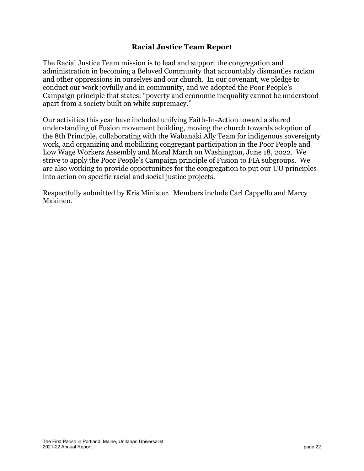#### **Racial Justice Team Report**

<span id="page-21-0"></span>The Racial Justice Team mission is to lead and support the congregation and administration in becoming a Beloved Community that accountably dismantles racism and other oppressions in ourselves and our church. In our covenant, we pledge to conduct our work joyfully and in community, and we adopted the Poor People's Campaign principle that states: "poverty and economic inequality cannot be understood apart from a society built on white supremacy."

Our activities this year have included unifying Faith-In-Action toward a shared understanding of Fusion movement building, moving the church towards adoption of the 8th Principle, collaborating with the Wabanaki Ally Team for indigenous sovereignty work, and organizing and mobilizing congregant participation in the Poor People and Low Wage Workers Assembly and Moral March on Washington, June 18, 2022. We strive to apply the Poor People's Campaign principle of Fusion to FIA subgroups. We are also working to provide opportunities for the congregation to put our UU principles into action on specific racial and social justice projects.

Respectfully submitted by Kris Minister. Members include Carl Cappello and Marcy Makinen.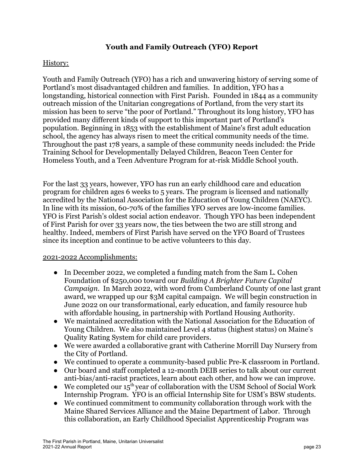#### **Youth and Family Outreach (YFO) Report**

#### <span id="page-22-0"></span>History:

Youth and Family Outreach (YFO) has a rich and unwavering history of serving some of Portland's most disadvantaged children and families. In addition, YFO has a longstanding, historical connection with First Parish. Founded in 1844 as a community outreach mission of the Unitarian congregations of Portland, from the very start its mission has been to serve "the poor of Portland." Throughout its long history, YFO has provided many different kinds of support to this important part of Portland's population. Beginning in 1853 with the establishment of Maine's first adult education school, the agency has always risen to meet the critical community needs of the time. Throughout the past 178 years, a sample of these community needs included: the Pride Training School for Developmentally Delayed Children, Beacon Teen Center for Homeless Youth, and a Teen Adventure Program for at-risk Middle School youth.

For the last 33 years, however, YFO has run an early childhood care and education program for children ages 6 weeks to 5 years. The program is licensed and nationally accredited by the National Association for the Education of Young Children (NAEYC). In line with its mission, 60-70% of the families YFO serves are low-income families. YFO is First Parish's oldest social action endeavor. Though YFO has been independent of First Parish for over 33 years now, the ties between the two are still strong and healthy. Indeed, members of First Parish have served on the YFO Board of Trustees since its inception and continue to be active volunteers to this day.

#### 2021-2022 Accomplishments:

- In December 2022, we completed a funding match from the Sam L. Cohen Foundation of \$250,000 toward our *Building A Brighter Future Capital Campaign*. In March 2022, with word from Cumberland County of one last grant award, we wrapped up our \$3M capital campaign. We will begin construction in June 2022 on our transformational, early education, and family resource hub with affordable housing, in partnership with Portland Housing Authority.
- We maintained accreditation with the National Association for the Education of Young Children. We also maintained Level 4 status (highest status) on Maine's Quality Rating System for child care providers.
- We were awarded a collaborative grant with Catherine Morrill Day Nursery from the City of Portland.
- We continued to operate a community-based public Pre-K classroom in Portland.
- Our board and staff completed a 12-month DEIB series to talk about our current anti-bias/anti-racist practices, learn about each other, and how we can improve.
- We completed our  $15^{th}$  year of collaboration with the USM School of Social Work Internship Program. YFO is an official Internship Site for USM's BSW students.
- We continued commitment to community collaboration through work with the Maine Shared Services Alliance and the Maine Department of Labor. Through this collaboration, an Early Childhood Specialist Apprenticeship Program was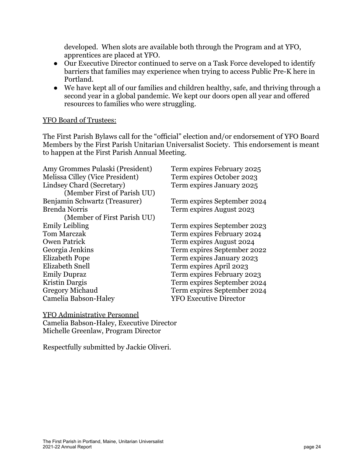developed. When slots are available both through the Program and at YFO, apprentices are placed at YFO.

- Our Executive Director continued to serve on a Task Force developed to identify barriers that families may experience when trying to access Public Pre-K here in Portland.
- We have kept all of our families and children healthy, safe, and thriving through a second year in a global pandemic. We kept our doors open all year and offered resources to families who were struggling.

#### YFO Board of Trustees:

The First Parish Bylaws call for the "official" election and/or endorsement of YFO Board Members by the First Parish Unitarian Universalist Society. This endorsement is meant to happen at the First Parish Annual Meeting.

| Amy Grommes Pulaski (President) | Term expires February 2025    |
|---------------------------------|-------------------------------|
| Melissa Cilley (Vice President) | Term expires October 2023     |
| Lindsey Chard (Secretary)       | Term expires January 2025     |
| (Member First of Parish UU)     |                               |
| Benjamin Schwartz (Treasurer)   | Term expires September 2024   |
| <b>Brenda Norris</b>            | Term expires August 2023      |
| (Member of First Parish UU)     |                               |
| <b>Emily Leibling</b>           | Term expires September 2023   |
| <b>Tom Marczak</b>              | Term expires February 2024    |
| <b>Owen Patrick</b>             | Term expires August 2024      |
| Georgia Jenkins                 | Term expires September 2022   |
| <b>Elizabeth Pope</b>           | Term expires January 2023     |
| Elizabeth Snell                 | Term expires April 2023       |
| <b>Emily Dupraz</b>             | Term expires February 2023    |
| Kristin Dargis                  | Term expires September 2024   |
| <b>Gregory Michaud</b>          | Term expires September 2024   |
| Camelia Babson-Haley            | <b>YFO Executive Director</b> |
|                                 |                               |

YFO Administrative Personnel Camelia Babson-Haley, Executive Director Michelle Greenlaw, Program Director

Respectfully submitted by Jackie Oliveri.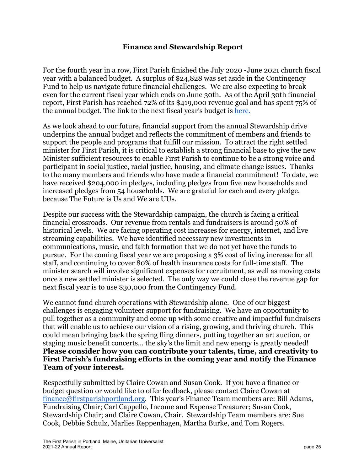#### **Finance and Stewardship Report**

<span id="page-24-0"></span>For the fourth year in a row, First Parish finished the July 2020 -June 2021 church fiscal year with a balanced budget. A surplus of \$24,828 was set aside in the Contingency Fund to help us navigate future financial challenges. We are also expecting to break even for the current fiscal year which ends on June 30th. As of the April 30th financial report, First Parish has reached 72% of its \$419,000 revenue goal and has spent 75% of the annual budget. The link to the next fiscal year's budget is [here.](https://firstparishportland.org/wp-content/uploads/2022/05/FP-FY2023-Proposed-Budget_AnnRpt.pdf)

As we look ahead to our future, financial support from the annual Stewardship drive underpins the annual budget and reflects the commitment of members and friends to support the people and programs that fulfill our mission. To attract the right settled minister for First Parish, it is critical to establish a strong financial base to give the new Minister sufficient resources to enable First Parish to continue to be a strong voice and participant in social justice, racial justice, housing, and climate change issues. Thanks to the many members and friends who have made a financial commitment! To date, we have received \$204,000 in pledges, including pledges from five new households and increased pledges from 54 households. We are grateful for each and every pledge, because The Future is Us and We are UUs.

Despite our success with the Stewardship campaign, the church is facing a critical financial crossroads. Our revenue from rentals and fundraisers is around 50% of historical levels. We are facing operating cost increases for energy, internet, and live streaming capabilities. We have identified necessary new investments in communications, music, and faith formation that we do not yet have the funds to pursue. For the coming fiscal year we are proposing a 3% cost of living increase for all staff, and continuing to cover 80% of health insurance costs for full-time staff. The minister search will involve significant expenses for recruitment, as well as moving costs once a new settled minister is selected. The only way we could close the revenue gap for next fiscal year is to use \$30,000 from the Contingency Fund.

We cannot fund church operations with Stewardship alone. One of our biggest challenges is engaging volunteer support for fundraising. We have an opportunity to pull together as a community and come up with some creative and impactful fundraisers that will enable us to achieve our vision of a rising, growing, and thriving church. This could mean bringing back the spring fling dinners, putting together an art auction, or staging music benefit concerts… the sky's the limit and new energy is greatly needed! **Please consider how you can contribute your talents, time, and creativity to First Parish's fundraising efforts in the coming year and notify the Finance Team of your interest.**

Respectfully submitted by Claire Cowan and Susan Cook. If you have a finance or budget question or would like to offer feedback, please contact Claire Cowan at [finance@firstparishportland.org.](mailto:finance@firstparishportland.org) This year's Finance Team members are: Bill Adams, Fundraising Chair; Carl Cappello, Income and Expense Treasurer; Susan Cook, Stewardship Chair; and Claire Cowan, Chair. Stewardship Team members are: Sue Cook, Debbie Schulz, Marlies Reppenhagen, Martha Burke, and Tom Rogers.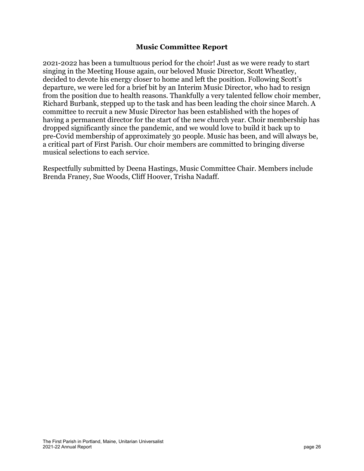#### **Music Committee Report**

<span id="page-25-0"></span>2021-2022 has been a tumultuous period for the choir! Just as we were ready to start singing in the Meeting House again, our beloved Music Director, Scott Wheatley, decided to devote his energy closer to home and left the position. Following Scott's departure, we were led for a brief bit by an Interim Music Director, who had to resign from the position due to health reasons. Thankfully a very talented fellow choir member, Richard Burbank, stepped up to the task and has been leading the choir since March. A committee to recruit a new Music Director has been established with the hopes of having a permanent director for the start of the new church year. Choir membership has dropped significantly since the pandemic, and we would love to build it back up to pre-Covid membership of approximately 30 people. Music has been, and will always be, a critical part of First Parish. Our choir members are committed to bringing diverse musical selections to each service.

Respectfully submitted by Deena Hastings, Music Committee Chair. Members include Brenda Franey, Sue Woods, Cliff Hoover, Trisha Nadaff.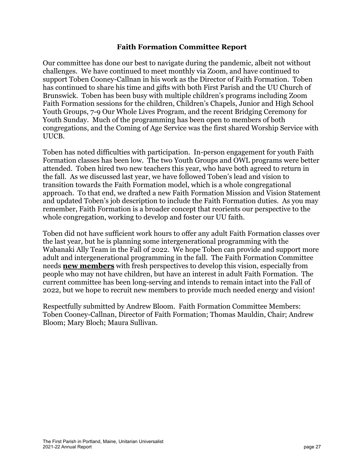#### **Faith Formation Committee Report**

<span id="page-26-0"></span>Our committee has done our best to navigate during the pandemic, albeit not without challenges. We have continued to meet monthly via Zoom, and have continued to support Toben Cooney-Callnan in his work as the Director of Faith Formation. Toben has continued to share his time and gifts with both First Parish and the UU Church of Brunswick. Toben has been busy with multiple children's programs including Zoom Faith Formation sessions for the children, Children's Chapels, Junior and High School Youth Groups, 7-9 Our Whole Lives Program, and the recent Bridging Ceremony for Youth Sunday. Much of the programming has been open to members of both congregations, and the Coming of Age Service was the first shared Worship Service with UUCB.

Toben has noted difficulties with participation. In-person engagement for youth Faith Formation classes has been low. The two Youth Groups and OWL programs were better attended. Toben hired two new teachers this year, who have both agreed to return in the fall. As we discussed last year, we have followed Toben's lead and vision to transition towards the Faith Formation model, which is a whole congregational approach. To that end, we drafted a new Faith Formation Mission and Vision Statement and updated Toben's job description to include the Faith Formation duties. As you may remember, Faith Formation is a broader concept that reorients our perspective to the whole congregation, working to develop and foster our UU faith.

Toben did not have sufficient work hours to offer any adult Faith Formation classes over the last year, but he is planning some intergenerational programming with the Wabanaki Ally Team in the Fall of 2022. We hope Toben can provide and support more adult and intergenerational programming in the fall. The Faith Formation Committee needs **new members** with fresh perspectives to develop this vision, especially from people who may not have children, but have an interest in adult Faith Formation. The current committee has been long-serving and intends to remain intact into the Fall of 2022, but we hope to recruit new members to provide much needed energy and vision!

Respectfully submitted by Andrew Bloom. Faith Formation Committee Members: Toben Cooney-Callnan, Director of Faith Formation; Thomas Mauldin, Chair; Andrew Bloom; Mary Bloch; Maura Sullivan.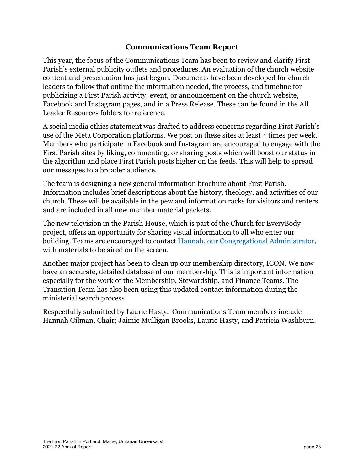#### **Communications Team Report**

<span id="page-27-0"></span>This year, the focus of the Communications Team has been to review and clarify First Parish's external publicity outlets and procedures. An evaluation of the church website content and presentation has just begun. Documents have been developed for church leaders to follow that outline the information needed, the process, and timeline for publicizing a First Parish activity, event, or announcement on the church website, Facebook and Instagram pages, and in a Press Release. These can be found in the All Leader Resources folders for reference.

A social media ethics statement was drafted to address concerns regarding First Parish's use of the Meta Corporation platforms. We post on these sites at least 4 times per week. Members who participate in Facebook and Instagram are encouraged to engage with the First Parish sites by liking, commenting, or sharing posts which will boost our status in the algorithm and place First Parish posts higher on the feeds. This will help to spread our messages to a broader audience.

The team is designing a new general information brochure about First Parish. Information includes brief descriptions about the history, theology, and activities of our church. These will be available in the pew and information racks for visitors and renters and are included in all new member material packets.

The new television in the Parish House, which is part of the Church for EveryBody project, offers an opportunity for sharing visual information to all who enter our building. Teams are encouraged to contact Hannah, [our Congregational Administrator](mailto:office@firstparishportland.org), with materials to be aired on the screen.

Another major project has been to clean up our membership directory, ICON. We now have an accurate, detailed database of our membership. This is important information especially for the work of the Membership, Stewardship, and Finance Teams. The Transition Team has also been using this updated contact information during the ministerial search process.

Respectfully submitted by Laurie Hasty. Communications Team members include Hannah Gilman, Chair; Jaimie Mulligan Brooks, Laurie Hasty, and Patricia Washburn.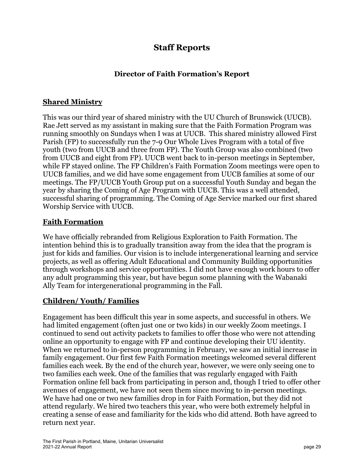## **Staff Reports**

#### **Director of Faith Formation's Report**

#### <span id="page-28-0"></span>**Shared Ministry**

This was our third year of shared ministry with the UU Church of Brunswick (UUCB). Rae Jett served as my assistant in making sure that the Faith Formation Program was running smoothly on Sundays when I was at UUCB. This shared ministry allowed First Parish (FP) to successfully run the 7-9 Our Whole Lives Program with a total of five youth (two from UUCB and three from FP). The Youth Group was also combined (two from UUCB and eight from FP). UUCB went back to in-person meetings in September, while FP stayed online. The FP Children's Faith Formation Zoom meetings were open to UUCB families, and we did have some engagement from UUCB families at some of our meetings. The FP/UUCB Youth Group put on a successful Youth Sunday and began the year by sharing the Coming of Age Program with UUCB. This was a well attended, successful sharing of programming. The Coming of Age Service marked our first shared Worship Service with UUCB.

#### **Faith Formation**

We have officially rebranded from Religious Exploration to Faith Formation. The intention behind this is to gradually transition away from the idea that the program is just for kids and families. Our vision is to include intergenerational learning and service projects, as well as offering Adult Educational and Community Building opportunities through workshops and service opportunities. I did not have enough work hours to offer any adult programming this year, but have begun some planning with the Wabanaki Ally Team for intergenerational programming in the Fall.

#### **Children/ Youth/ Families**

Engagement has been difficult this year in some aspects, and successful in others. We had limited engagement (often just one or two kids) in our weekly Zoom meetings. I continued to send out activity packets to families to offer those who were not attending online an opportunity to engage with FP and continue developing their UU identity. When we returned to in-person programming in February, we saw an initial increase in family engagement. Our first few Faith Formation meetings welcomed several different families each week. By the end of the church year, however, we were only seeing one to two families each week. One of the families that was regularly engaged with Faith Formation online fell back from participating in person and, though I tried to offer other avenues of engagement, we have not seen them since moving to in-person meetings. We have had one or two new families drop in for Faith Formation, but they did not attend regularly. We hired two teachers this year, who were both extremely helpful in creating a sense of ease and familiarity for the kids who did attend. Both have agreed to return next year.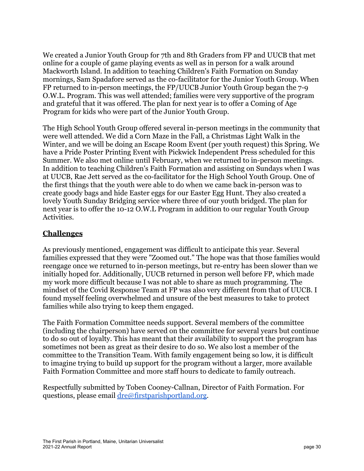We created a Junior Youth Group for 7th and 8th Graders from FP and UUCB that met online for a couple of game playing events as well as in person for a walk around Mackworth Island. In addition to teaching Children's Faith Formation on Sunday mornings, Sam Spadafore served as the co-facilitator for the Junior Youth Group. When FP returned to in-person meetings, the FP/UUCB Junior Youth Group began the 7-9 O.W.L. Program. This was well attended; families were very supportive of the program and grateful that it was offered. The plan for next year is to offer a Coming of Age Program for kids who were part of the Junior Youth Group.

The High School Youth Group offered several in-person meetings in the community that were well attended. We did a Corn Maze in the Fall, a Christmas Light Walk in the Winter, and we will be doing an Escape Room Event (per youth request) this Spring. We have a Pride Poster Printing Event with Pickwick Independent Press scheduled for this Summer. We also met online until February, when we returned to in-person meetings. In addition to teaching Children's Faith Formation and assisting on Sundays when I was at UUCB, Rae Jett served as the co-facilitator for the High School Youth Group. One of the first things that the youth were able to do when we came back in-person was to create goody bags and hide Easter eggs for our Easter Egg Hunt. They also created a lovely Youth Sunday Bridging service where three of our youth bridged. The plan for next year is to offer the 10-12 O.W.L Program in addition to our regular Youth Group Activities.

#### **Challenges**

As previously mentioned, engagement was difficult to anticipate this year. Several families expressed that they were "Zoomed out." The hope was that those families would reengage once we returned to in-person meetings, but re-entry has been slower than we initially hoped for. Additionally, UUCB returned in person well before FP, which made my work more difficult because I was not able to share as much programming. The mindset of the Covid Response Team at FP was also very different from that of UUCB. I found myself feeling overwhelmed and unsure of the best measures to take to protect families while also trying to keep them engaged.

The Faith Formation Committee needs support. Several members of the committee (including the chairperson) have served on the committee for several years but continue to do so out of loyalty. This has meant that their availability to support the program has sometimes not been as great as their desire to do so. We also lost a member of the committee to the Transition Team. With family engagement being so low, it is difficult to imagine trying to build up support for the program without a larger, more available Faith Formation Committee and more staff hours to dedicate to family outreach.

Respectfully submitted by Toben Cooney-Callnan, Director of Faith Formation. For questions, please email [dre@firstparishportland.org.](mailto:dre@firstparishportland.org)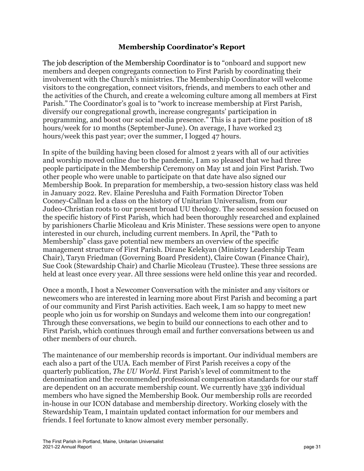#### **Membership Coordinator's Report**

<span id="page-30-0"></span>The job description of the Membership Coordinator is to "onboard and support new members and deepen congregants connection to First Parish by coordinating their involvement with the Church's ministries. The Membership Coordinator will welcome visitors to the congregation, connect visitors, friends, and members to each other and the activities of the Church, and create a welcoming culture among all members at First Parish." The Coordinator's goal is to "work to increase membership at First Parish, diversify our congregational growth, increase congregants' participation in programming, and boost our social media presence." This is a part-time position of 18 hours/week for 10 months (September-June). On average, I have worked 23 hours/week this past year; over the summer, I logged 47 hours.

In spite of the building having been closed for almost 2 years with all of our activities and worship moved online due to the pandemic, I am so pleased that we had three people participate in the Membership Ceremony on May 1st and join First Parish. Two other people who were unable to participate on that date have also signed our Membership Book. In preparation for membership, a two-session history class was held in January 2022. Rev. Elaine Peresluha and Faith Formation Director Toben Cooney-Callnan led a class on the history of Unitarian Universalism, from our Judeo-Christian roots to our present broad UU theology. The second session focused on the specific history of First Parish, which had been thoroughly researched and explained by parishioners Charlie Micoleau and Kris Minister. These sessions were open to anyone interested in our church, including current members. In April, the "Path to Membership" class gave potential new members an overview of the specific management structure of First Parish. Dirane Kelekyan (Ministry Leadership Team Chair), Taryn Friedman (Governing Board President), Claire Cowan (Finance Chair), Sue Cook (Stewardship Chair) and Charlie Micoleau (Trustee). These three sessions are held at least once every year. All three sessions were held online this year and recorded.

Once a month, I host a Newcomer Conversation with the minister and any visitors or newcomers who are interested in learning more about First Parish and becoming a part of our community and First Parish activities. Each week, I am so happy to meet new people who join us for worship on Sundays and welcome them into our congregation! Through these conversations, we begin to build our connections to each other and to First Parish, which continues through email and further conversations between us and other members of our church.

The maintenance of our membership records is important. Our individual members are each also a part of the UUA. Each member of First Parish receives a copy of the quarterly publication, *The UU World.* First Parish's level of commitment to the denomination and the recommended professional compensation standards for our staff are dependent on an accurate membership count. We currently have 336 individual members who have signed the Membership Book. Our membership rolls are recorded in-house in our ICON database and membership directory. Working closely with the Stewardship Team, I maintain updated contact information for our members and friends. I feel fortunate to know almost every member personally.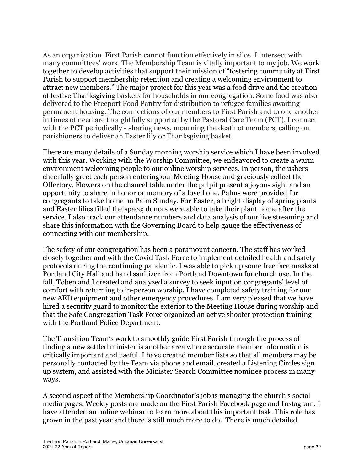As an organization, First Parish cannot function effectively in silos. I intersect with many committees' work. The Membership Team is vitally important to my job. We work together to develop activities that support their mission of "fostering community at First Parish to support membership retention and creating a welcoming environment to attract new members." The major project for this year was a food drive and the creation of festive Thanksgiving baskets for households in our congregation. Some food was also delivered to the Freeport Food Pantry for distribution to refugee families awaiting permanent housing. The connections of our members to First Parish and to one another in times of need are thoughtfully supported by the Pastoral Care Team (PCT). I connect with the PCT periodically - sharing news, mourning the death of members, calling on parishioners to deliver an Easter lily or Thanksgiving basket.

There are many details of a Sunday morning worship service which I have been involved with this year. Working with the Worship Committee, we endeavored to create a warm environment welcoming people to our online worship services. In person, the ushers cheerfully greet each person entering our Meeting House and graciously collect the Offertory. Flowers on the chancel table under the pulpit present a joyous sight and an opportunity to share in honor or memory of a loved one. Palms were provided for congregants to take home on Palm Sunday. For Easter, a bright display of spring plants and Easter lilies filled the space; donors were able to take their plant home after the service. I also track our attendance numbers and data analysis of our live streaming and share this information with the Governing Board to help gauge the effectiveness of connecting with our membership.

The safety of our congregation has been a paramount concern. The staff has worked closely together and with the Covid Task Force to implement detailed health and safety protocols during the continuing pandemic. I was able to pick up some free face masks at Portland City Hall and hand sanitizer from Portland Downtown for church use. In the fall, Toben and I created and analyzed a survey to seek input on congregants' level of comfort with returning to in-person worship. I have completed safety training for our new AED equipment and other emergency procedures. I am very pleased that we have hired a security guard to monitor the exterior to the Meeting House during worship and that the Safe Congregation Task Force organized an active shooter protection training with the Portland Police Department.

The Transition Team's work to smoothly guide First Parish through the process of finding a new settled minister is another area where accurate member information is critically important and useful. I have created member lists so that all members may be personally contacted by the Team via phone and email, created a Listening Circles sign up system, and assisted with the Minister Search Committee nominee process in many ways.

A second aspect of the Membership Coordinator's job is managing the church's social media pages. Weekly posts are made on the First Parish Facebook page and Instagram. I have attended an online webinar to learn more about this important task. This role has grown in the past year and there is still much more to do. There is much detailed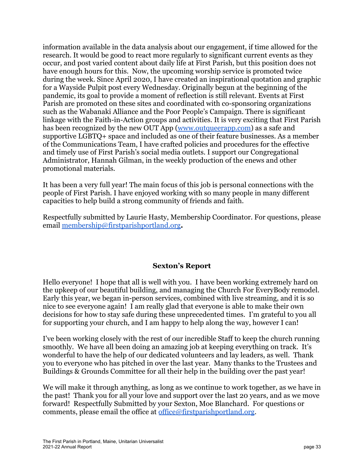information available in the data analysis about our engagement, if time allowed for the research. It would be good to react more regularly to significant current events as they occur, and post varied content about daily life at First Parish, but this position does not have enough hours for this. Now, the upcoming worship service is promoted twice during the week. Since April 2020, I have created an inspirational quotation and graphic for a Wayside Pulpit post every Wednesday. Originally begun at the beginning of the pandemic, its goal to provide a moment of reflection is still relevant. Events at First Parish are promoted on these sites and coordinated with co-sponsoring organizations such as the Wabanaki Alliance and the Poor People's Campaign. There is significant linkage with the Faith-in-Action groups and activities. It is very exciting that First Parish has been recognized by the new OUT App ([www.outqueerapp.com](http://www.outqueerapp.com)) as a safe and supportive LGBTQ+ space and included as one of their feature businesses. As a member of the Communications Team, I have crafted policies and procedures for the effective and timely use of First Parish's social media outlets. I support our Congregational Administrator, Hannah Gilman, in the weekly production of the enews and other promotional materials.

It has been a very full year! The main focus of this job is personal connections with the people of First Parish. I have enjoyed working with so many people in many different capacities to help build a strong community of friends and faith.

Respectfully submitted by Laurie Hasty, Membership Coordinator. For questions, please email [membership@firstparishportland.org](mailto:membership@firstparishportland.org)**.**

#### **Sexton's Report**

<span id="page-32-0"></span>Hello everyone! I hope that all is well with you. I have been working extremely hard on the upkeep of our beautiful building, and managing the Church For EveryBody remodel. Early this year, we began in-person services, combined with live streaming, and it is so nice to see everyone again! I am really glad that everyone is able to make their own decisions for how to stay safe during these unprecedented times. I'm grateful to you all for supporting your church, and I am happy to help along the way, however I can!

I've been working closely with the rest of our incredible Staff to keep the church running smoothly. We have all been doing an amazing job at keeping everything on track. It's wonderful to have the help of our dedicated volunteers and lay leaders, as well. Thank you to everyone who has pitched in over the last year. Many thanks to the Trustees and Buildings & Grounds Committee for all their help in the building over the past year!

We will make it through anything, as long as we continue to work together, as we have in the past! Thank you for all your love and support over the last 20 years, and as we move forward! Respectfully Submitted by your Sexton, Moe Blanchard. For questions or comments, please email the office at [office@firstparishportland.org](mailto:office@firstparishportland.org).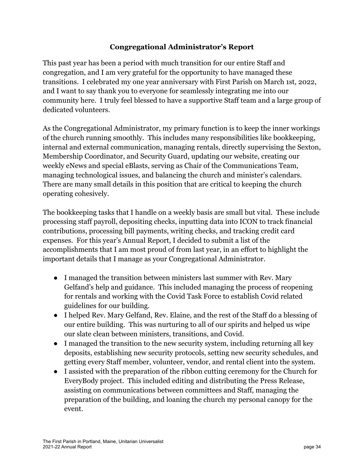#### **Congregational Administrator's Report**

<span id="page-33-0"></span>This past year has been a period with much transition for our entire Staff and congregation, and I am very grateful for the opportunity to have managed these transitions. I celebrated my one year anniversary with First Parish on March 1st, 2022, and I want to say thank you to everyone for seamlessly integrating me into our community here. I truly feel blessed to have a supportive Staff team and a large group of dedicated volunteers.

As the Congregational Administrator, my primary function is to keep the inner workings of the church running smoothly. This includes many responsibilities like bookkeeping, internal and external communication, managing rentals, directly supervising the Sexton, Membership Coordinator, and Security Guard, updating our website, creating our weekly eNews and special eBlasts, serving as Chair of the Communications Team, managing technological issues, and balancing the church and minister's calendars. There are many small details in this position that are critical to keeping the church operating cohesively.

The bookkeeping tasks that I handle on a weekly basis are small but vital. These include processing staff payroll, depositing checks, inputting data into ICON to track financial contributions, processing bill payments, writing checks, and tracking credit card expenses. For this year's Annual Report, I decided to submit a list of the accomplishments that I am most proud of from last year, in an effort to highlight the important details that I manage as your Congregational Administrator.

- I managed the transition between ministers last summer with Rev. Mary Gelfand's help and guidance. This included managing the process of reopening for rentals and working with the Covid Task Force to establish Covid related guidelines for our building.
- I helped Rev. Mary Gelfand, Rev. Elaine, and the rest of the Staff do a blessing of our entire building. This was nurturing to all of our spirits and helped us wipe our slate clean between ministers, transitions, and Covid.
- I managed the transition to the new security system, including returning all key deposits, establishing new security protocols, setting new security schedules, and getting every Staff member, volunteer, vendor, and rental client into the system.
- I assisted with the preparation of the ribbon cutting ceremony for the Church for EveryBody project. This included editing and distributing the Press Release, assisting on communications between committees and Staff, managing the preparation of the building, and loaning the church my personal canopy for the event.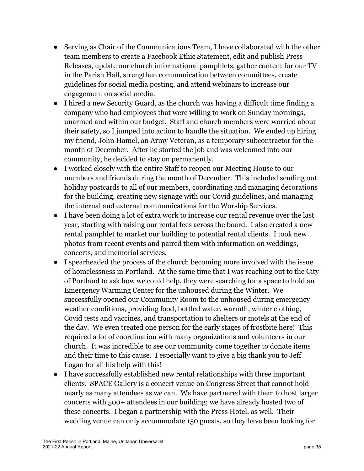- Serving as Chair of the Communications Team, I have collaborated with the other team members to create a Facebook Ethic Statement, edit and publish Press Releases, update our church informational pamphlets, gather content for our TV in the Parish Hall, strengthen communication between committees, create guidelines for social media posting, and attend webinars to increase our engagement on social media.
- I hired a new Security Guard, as the church was having a difficult time finding a company who had employees that were willing to work on Sunday mornings, unarmed and within our budget. Staff and church members were worried about their safety, so I jumped into action to handle the situation. We ended up hiring my friend, John Hamel, an Army Veteran, as a temporary subcontractor for the month of December. After he started the job and was welcomed into our community, he decided to stay on permanently.
- I worked closely with the entire Staff to reopen our Meeting House to our members and friends during the month of December. This included sending out holiday postcards to all of our members, coordinating and managing decorations for the building, creating new signage with our Covid guidelines, and managing the internal and external communications for the Worship Services.
- I have been doing a lot of extra work to increase our rental revenue over the last year, starting with raising our rental fees across the board. I also created a new rental pamphlet to market our building to potential rental clients. I took new photos from recent events and paired them with information on weddings, concerts, and memorial services.
- I spearheaded the process of the church becoming more involved with the issue of homelessness in Portland. At the same time that I was reaching out to the City of Portland to ask how we could help, they were searching for a space to hold an Emergency Warming Center for the unhoused during the Winter. We successfully opened our Community Room to the unhoused during emergency weather conditions, providing food, bottled water, warmth, winter clothing, Covid tests and vaccines, and transportation to shelters or motels at the end of the day. We even treated one person for the early stages of frostbite here! This required a lot of coordination with many organizations and volunteers in our church. It was incredible to see our community come together to donate items and their time to this cause. I especially want to give a big thank you to Jeff Logan for all his help with this!
- I have successfully established new rental relationships with three important clients. SPACE Gallery is a concert venue on Congress Street that cannot hold nearly as many attendees as we can. We have partnered with them to host larger concerts with 500+ attendees in our building; we have already hosted two of these concerts. I began a partnership with the Press Hotel, as well. Their wedding venue can only accommodate 150 guests, so they have been looking for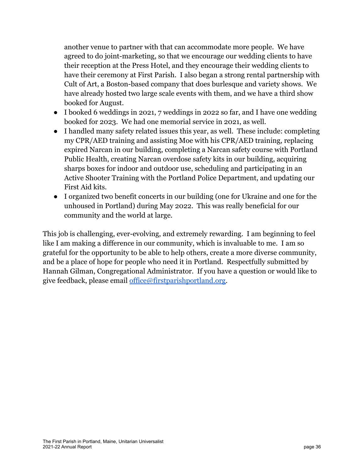another venue to partner with that can accommodate more people. We have agreed to do joint-marketing, so that we encourage our wedding clients to have their reception at the Press Hotel, and they encourage their wedding clients to have their ceremony at First Parish. I also began a strong rental partnership with Cult of Art, a Boston-based company that does burlesque and variety shows. We have already hosted two large scale events with them, and we have a third show booked for August.

- I booked 6 weddings in 2021, 7 weddings in 2022 so far, and I have one wedding booked for 2023. We had one memorial service in 2021, as well.
- I handled many safety related issues this year, as well. These include: completing my CPR/AED training and assisting Moe with his CPR/AED training, replacing expired Narcan in our building, completing a Narcan safety course with Portland Public Health, creating Narcan overdose safety kits in our building, acquiring sharps boxes for indoor and outdoor use, scheduling and participating in an Active Shooter Training with the Portland Police Department, and updating our First Aid kits.
- I organized two benefit concerts in our building (one for Ukraine and one for the unhoused in Portland) during May 2022. This was really beneficial for our community and the world at large.

This job is challenging, ever-evolving, and extremely rewarding. I am beginning to feel like I am making a difference in our community, which is invaluable to me. I am so grateful for the opportunity to be able to help others, create a more diverse community, and be a place of hope for people who need it in Portland. Respectfully submitted by Hannah Gilman, Congregational Administrator. If you have a question or would like to give feedback, please email [office@firstparishportland.org.](mailto:office@firstparishportland.org)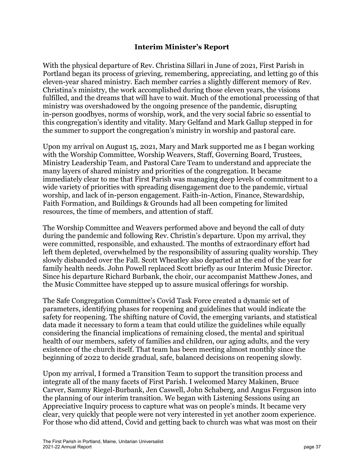#### **Interim Minister's Report**

<span id="page-36-0"></span>With the physical departure of Rev. Christina Sillari in June of 2021, First Parish in Portland began its process of grieving, remembering, appreciating, and letting go of this eleven-year shared ministry. Each member carries a slightly different memory of Rev. Christina's ministry, the work accomplished during those eleven years, the visions fulfilled, and the dreams that will have to wait. Much of the emotional processing of that ministry was overshadowed by the ongoing presence of the pandemic, disrupting in-person goodbyes, norms of worship, work, and the very social fabric so essential to this congregation's identity and vitality. Mary Gelfand and Mark Gallup stepped in for the summer to support the congregation's ministry in worship and pastoral care.

Upon my arrival on August 15, 2021, Mary and Mark supported me as I began working with the Worship Committee, Worship Weavers, Staff, Governing Board, Trustees, Ministry Leadership Team, and Pastoral Care Team to understand and appreciate the many layers of shared ministry and priorities of the congregation. It became immediately clear to me that First Parish was managing deep levels of commitment to a wide variety of priorities with spreading disengagement due to the pandemic, virtual worship, and lack of in-person engagement. Faith-in-Action, Finance, Stewardship, Faith Formation, and Buildings & Grounds had all been competing for limited resources, the time of members, and attention of staff.

The Worship Committee and Weavers performed above and beyond the call of duty during the pandemic and following Rev. Christin's departure. Upon my arrival, they were committed, responsible, and exhausted. The months of extraordinary effort had left them depleted, overwhelmed by the responsibility of assuring quality worship. They slowly disbanded over the Fall. Scott Wheatley also departed at the end of the year for family health needs. John Powell replaced Scott briefly as our Interim Music Director. Since his departure Richard Burbank, the choir, our accompanist Matthew Jones, and the Music Committee have stepped up to assure musical offerings for worship.

The Safe Congregation Committee's Covid Task Force created a dynamic set of parameters, identifying phases for reopening and guidelines that would indicate the safety for reopening. The shifting nature of Covid, the emerging variants, and statistical data made it necessary to form a team that could utilize the guidelines while equally considering the financial implications of remaining closed, the mental and spiritual health of our members, safety of families and children, our aging adults, and the very existence of the church itself. That team has been meeting almost monthly since the beginning of 2022 to decide gradual, safe, balanced decisions on reopening slowly.

Upon my arrival, I formed a Transition Team to support the transition process and integrate all of the many facets of First Parish. I welcomed Marcy Makinen, Bruce Carver, Sammy Riegel-Burbank, Jen Caswell, John Schaberg, and Angus Ferguson into the planning of our interim transition. We began with Listening Sessions using an Appreciative Inquiry process to capture what was on people's minds. It became very clear, very quickly that people were not very interested in yet another zoom experience. For those who did attend, Covid and getting back to church was what was most on their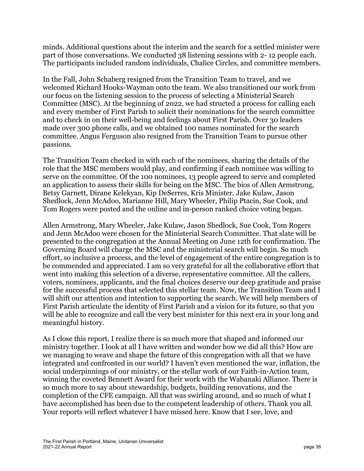minds. Additional questions about the interim and the search for a settled minister were part of those conversations. We conducted 38 listening sessions with 2- 12 people each. The participants included random individuals, Chalice Circles, and committee members.

In the Fall, John Schaberg resigned from the Transition Team to travel, and we welcomed Richard Hooks-Wayman onto the team. We also transitioned our work from our focus on the listening session to the process of selecting a Ministerial Search Committee (MSC). At the beginning of 2022, we had structed a process for calling each and every member of First Parish to solicit their nominations for the search committee and to check in on their well-being and feelings about First Parish. Over 30 leaders made over 300 phone calls, and we obtained 100 names nominated for the search committee. Angus Ferguson also resigned from the Transition Team to pursue other passions.

The Transition Team checked in with each of the nominees, sharing the details of the role that the MSC members would play, and confirming if each nominee was willing to serve on the committee. Of the 100 nominees, 13 people agreed to serve and completed an application to assess their skills for being on the MSC. The bios of Allen Armstrong, Betsy Garnett, Dirane Kelekyan, Kip DeSerres, Kris Minister, Jake Kulaw, Jason Shedlock, Jenn McAdoo, Marianne Hill, Mary Wheeler, Philip Ptacin, Sue Cook, and Tom Rogers were posted and the online and in-person ranked choice voting began.

Allen Armstrong, Mary Wheeler, Jake Kulaw, Jason Shedlock, Sue Cook, Tom Rogers and Jenn McAdoo were chosen for the Ministerial Search Committee. That slate will be presented to the congregation at the Annual Meeting on June 12th for confirmation. The Governing Board will charge the MSC and the ministerial search will begin. So much effort, so inclusive a process, and the level of engagement of the entire congregation is to be commended and appreciated. I am so very grateful for all the collaborative effort that went into making this selection of a diverse, representative committee. All the callers, voters, nominees, applicants, and the final choices deserve our deep gratitude and praise for the successful process that selected this stellar team. Now, the Transition Team and I will shift our attention and intention to supporting the search. We will help members of First Parish articulate the identity of First Parish and a vision for its future, so that you will be able to recognize and call the very best minister for this next era in your long and meaningful history.

As I close this report, I realize there is so much more that shaped and informed our ministry together. I look at all I have written and wonder how we did all this? How are we managing to weave and shape the future of this congregation with all that we have integrated and confronted in our world? I haven't even mentioned the war, inflation, the social underpinnings of our ministry, or the stellar work of our Faith-in-Action team, winning the coveted Bennett Award for their work with the Wabanaki Alliance. There is so much more to say about stewardship, budgets, building renovations, and the completion of the CFE campaign. All that was swirling around, and so much of what I have accomplished has been due to the competent leadership of others. Thank you all. Your reports will reflect whatever I have missed here. Know that I see, love, and